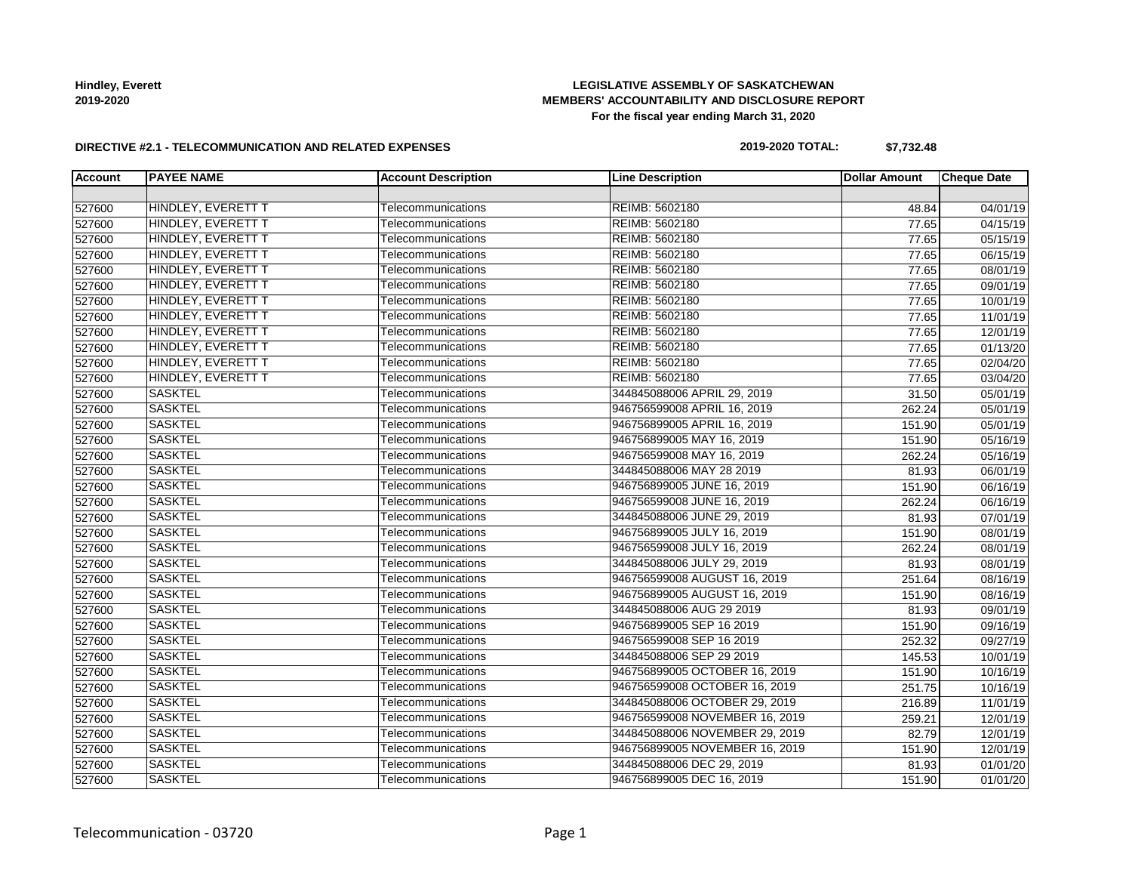# **LEGISLATIVE ASSEMBLY OF SASKATCHEWAN MEMBERS' ACCOUNTABILITY AND DISCLOSURE REPORT For the fiscal year ending March 31, 2020**

### **DIRECTIVE #2.1 - TELECOMMUNICATION AND RELATED EXPENSES**

# **2019-2020 TOTAL: \$7,732.48**

| <b>Account</b> | <b>PAYEE NAME</b>  | <b>Account Description</b> | <b>Line Description</b>        | <b>Dollar Amount</b> | <b>Cheque Date</b> |
|----------------|--------------------|----------------------------|--------------------------------|----------------------|--------------------|
|                |                    |                            |                                |                      |                    |
| 527600         | HINDLEY, EVERETT T | Telecommunications         | REIMB: 5602180                 | 48.84                | 04/01/19           |
| 527600         | HINDLEY, EVERETT T | Telecommunications         | REIMB: 5602180                 | 77.65                | 04/15/19           |
| 527600         | HINDLEY, EVERETT T | Telecommunications         | REIMB: 5602180                 | 77.65                | 05/15/19           |
| 527600         | HINDLEY, EVERETT T | Telecommunications         | REIMB: 5602180                 | 77.65                | 06/15/19           |
| 527600         | HINDLEY, EVERETT T | Telecommunications         | REIMB: 5602180                 | 77.65                | 08/01/19           |
| 527600         | HINDLEY, EVERETT T | Telecommunications         | REIMB: 5602180                 | 77.65                | 09/01/19           |
| 527600         | HINDLEY, EVERETT T | Telecommunications         | REIMB: 5602180                 | 77.65                | 10/01/19           |
| 527600         | HINDLEY, EVERETT T | Telecommunications         | REIMB: 5602180                 | 77.65                | 11/01/19           |
| 527600         | HINDLEY, EVERETT T | Telecommunications         | REIMB: 5602180                 | 77.65                | 12/01/19           |
| 527600         | HINDLEY, EVERETT T | Telecommunications         | REIMB: 5602180                 | 77.65                | 01/13/20           |
| 527600         | HINDLEY, EVERETT T | Telecommunications         | REIMB: 5602180                 | 77.65                | 02/04/20           |
| 527600         | HINDLEY, EVERETT T | Telecommunications         | REIMB: 5602180                 | 77.65                | 03/04/20           |
| 527600         | <b>SASKTEL</b>     | Telecommunications         | 344845088006 APRIL 29, 2019    | 31.50                | 05/01/19           |
| 527600         | <b>SASKTEL</b>     | Telecommunications         | 946756599008 APRIL 16, 2019    | 262.24               | 05/01/19           |
| 527600         | <b>SASKTEL</b>     | Telecommunications         | 946756899005 APRIL 16, 2019    | 151.90               | 05/01/19           |
| 527600         | <b>SASKTEL</b>     | Telecommunications         | 946756899005 MAY 16, 2019      | 151.90               | 05/16/19           |
| 527600         | <b>SASKTEL</b>     | Telecommunications         | 946756599008 MAY 16, 2019      | 262.24               | 05/16/19           |
| 527600         | <b>SASKTEL</b>     | Telecommunications         | 344845088006 MAY 28 2019       | 81.93                | 06/01/19           |
| 527600         | <b>SASKTEL</b>     | Telecommunications         | 946756899005 JUNE 16, 2019     | 151.90               | 06/16/19           |
| 527600         | <b>SASKTEL</b>     | Telecommunications         | 946756599008 JUNE 16, 2019     | 262.24               | 06/16/19           |
| 527600         | <b>SASKTEL</b>     | Telecommunications         | 344845088006 JUNE 29, 2019     | 81.93                | 07/01/19           |
| 527600         | <b>SASKTEL</b>     | Telecommunications         | 946756899005 JULY 16, 2019     | 151.90               | 08/01/19           |
| 527600         | <b>SASKTEL</b>     | Telecommunications         | 946756599008 JULY 16, 2019     | 262.24               | 08/01/19           |
| 527600         | <b>SASKTEL</b>     | Telecommunications         | 344845088006 JULY 29, 2019     | 81.93                | 08/01/19           |
| 527600         | <b>SASKTEL</b>     | Telecommunications         | 946756599008 AUGUST 16, 2019   | 251.64               | 08/16/19           |
| 527600         | <b>SASKTEL</b>     | Telecommunications         | 946756899005 AUGUST 16, 2019   | 151.90               | 08/16/19           |
| 527600         | <b>SASKTEL</b>     | Telecommunications         | 344845088006 AUG 29 2019       | 81.93                | 09/01/19           |
| 527600         | <b>SASKTEL</b>     | Telecommunications         | 946756899005 SEP 16 2019       | 151.90               | 09/16/19           |
| 527600         | <b>SASKTEL</b>     | Telecommunications         | 946756599008 SEP 16 2019       | 252.32               | 09/27/19           |
| 527600         | <b>SASKTEL</b>     | Telecommunications         | 344845088006 SEP 29 2019       | 145.53               | 10/01/19           |
| 527600         | <b>SASKTEL</b>     | Telecommunications         | 946756899005 OCTOBER 16, 2019  | 151.90               | 10/16/19           |
| 527600         | <b>SASKTEL</b>     | Telecommunications         | 946756599008 OCTOBER 16, 2019  | 251.75               | 10/16/19           |
| 527600         | <b>SASKTEL</b>     | Telecommunications         | 344845088006 OCTOBER 29, 2019  | 216.89               | 11/01/19           |
| 527600         | <b>SASKTEL</b>     | Telecommunications         | 946756599008 NOVEMBER 16, 2019 | 259.21               | 12/01/19           |
| 527600         | <b>SASKTEL</b>     | Telecommunications         | 344845088006 NOVEMBER 29, 2019 | 82.79                | 12/01/19           |
| 527600         | <b>SASKTEL</b>     | Telecommunications         | 946756899005 NOVEMBER 16, 2019 | 151.90               | 12/01/19           |
| 527600         | <b>SASKTEL</b>     | Telecommunications         | 344845088006 DEC 29, 2019      | 81.93                | 01/01/20           |
| 527600         | <b>SASKTEL</b>     | Telecommunications         | 946756899005 DEC 16, 2019      | 151.90               | 01/01/20           |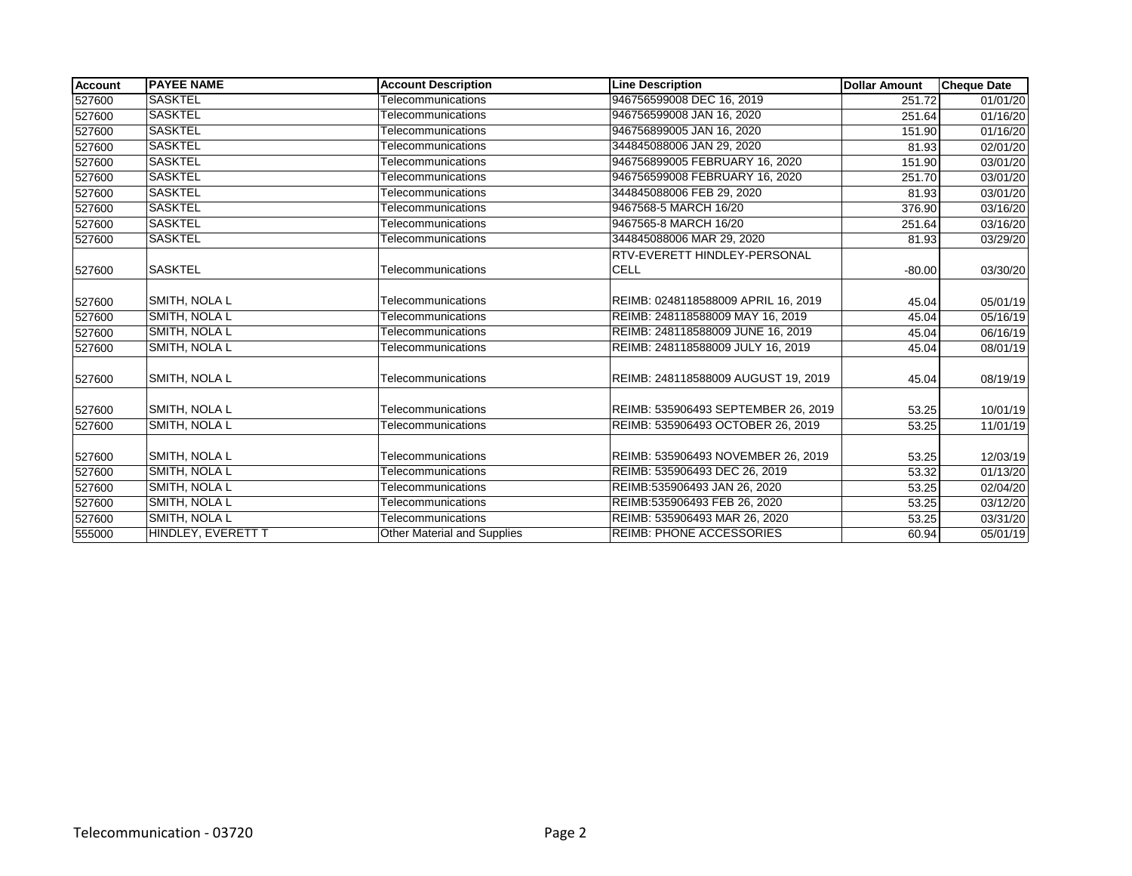| Account | <b>IPAYEE NAME</b>   | <b>Account Description</b>  | <b>Line Description</b>             | <b>Dollar Amount</b> | <b>Cheque Date</b> |
|---------|----------------------|-----------------------------|-------------------------------------|----------------------|--------------------|
| 527600  | <b>SASKTEL</b>       | Telecommunications          | 946756599008 DEC 16, 2019           | 251.72               | 01/01/20           |
| 527600  | <b>SASKTEL</b>       | Telecommunications          | 946756599008 JAN 16, 2020           | 251.64               | 01/16/20           |
| 527600  | <b>SASKTEL</b>       | Telecommunications          | 946756899005 JAN 16, 2020           | 151.90               | 01/16/20           |
| 527600  | <b>SASKTEL</b>       | Telecommunications          | 344845088006 JAN 29, 2020           | 81.93                | 02/01/20           |
| 527600  | <b>SASKTEL</b>       | Telecommunications          | 946756899005 FEBRUARY 16, 2020      | 151.90               | 03/01/20           |
| 527600  | <b>SASKTEL</b>       | Telecommunications          | 946756599008 FEBRUARY 16, 2020      | 251.70               | 03/01/20           |
| 527600  | <b>SASKTEL</b>       | Telecommunications          | 344845088006 FEB 29, 2020           | 81.93                | 03/01/20           |
| 527600  | <b>SASKTEL</b>       | Telecommunications          | 9467568-5 MARCH 16/20               | 376.90               | 03/16/20           |
| 527600  | <b>SASKTEL</b>       | Telecommunications          | 9467565-8 MARCH 16/20               | 251.64               | 03/16/20           |
| 527600  | <b>SASKTEL</b>       | Telecommunications          | 344845088006 MAR 29, 2020           | 81.93                | 03/29/20           |
|         |                      |                             | RTV-EVERETT HINDLEY-PERSONAL        |                      |                    |
| 527600  | <b>SASKTEL</b>       | Telecommunications          | <b>CELL</b>                         | $-80.00$             | 03/30/20           |
| 527600  | <b>SMITH, NOLA L</b> | Telecommunications          | REIMB: 0248118588009 APRIL 16, 2019 | 45.04                | 05/01/19           |
| 527600  | SMITH, NOLA L        | Telecommunications          | REIMB: 248118588009 MAY 16, 2019    | 45.04                | 05/16/19           |
| 527600  | <b>SMITH, NOLA L</b> | Telecommunications          | REIMB: 248118588009 JUNE 16, 2019   | 45.04                | 06/16/19           |
| 527600  | SMITH, NOLA L        | Telecommunications          | REIMB: 248118588009 JULY 16, 2019   | 45.04                | 08/01/19           |
| 527600  | SMITH, NOLA L        | Telecommunications          | REIMB: 248118588009 AUGUST 19, 2019 | 45.04                | 08/19/19           |
| 527600  | <b>SMITH, NOLA L</b> | Telecommunications          | REIMB: 535906493 SEPTEMBER 26, 2019 | 53.25                | 10/01/19           |
| 527600  | SMITH, NOLA L        | Telecommunications          | REIMB: 535906493 OCTOBER 26, 2019   | 53.25                | 11/01/19           |
| 527600  | <b>SMITH, NOLA L</b> | Telecommunications          | REIMB: 535906493 NOVEMBER 26, 2019  | 53.25                | 12/03/19           |
| 527600  | SMITH, NOLA L        | Telecommunications          | REIMB: 535906493 DEC 26, 2019       | 53.32                | 01/13/20           |
| 527600  | <b>SMITH, NOLA L</b> | Telecommunications          | REIMB:535906493 JAN 26, 2020        | 53.25                | 02/04/20           |
| 527600  | <b>SMITH, NOLA L</b> | Telecommunications          | REIMB:535906493 FEB 26, 2020        | 53.25                | 03/12/20           |
| 527600  | SMITH, NOLA L        | Telecommunications          | REIMB: 535906493 MAR 26, 2020       | 53.25                | 03/31/20           |
| 555000  | HINDLEY, EVERETT T   | Other Material and Supplies | <b>REIMB: PHONE ACCESSORIES</b>     | 60.94                | 05/01/19           |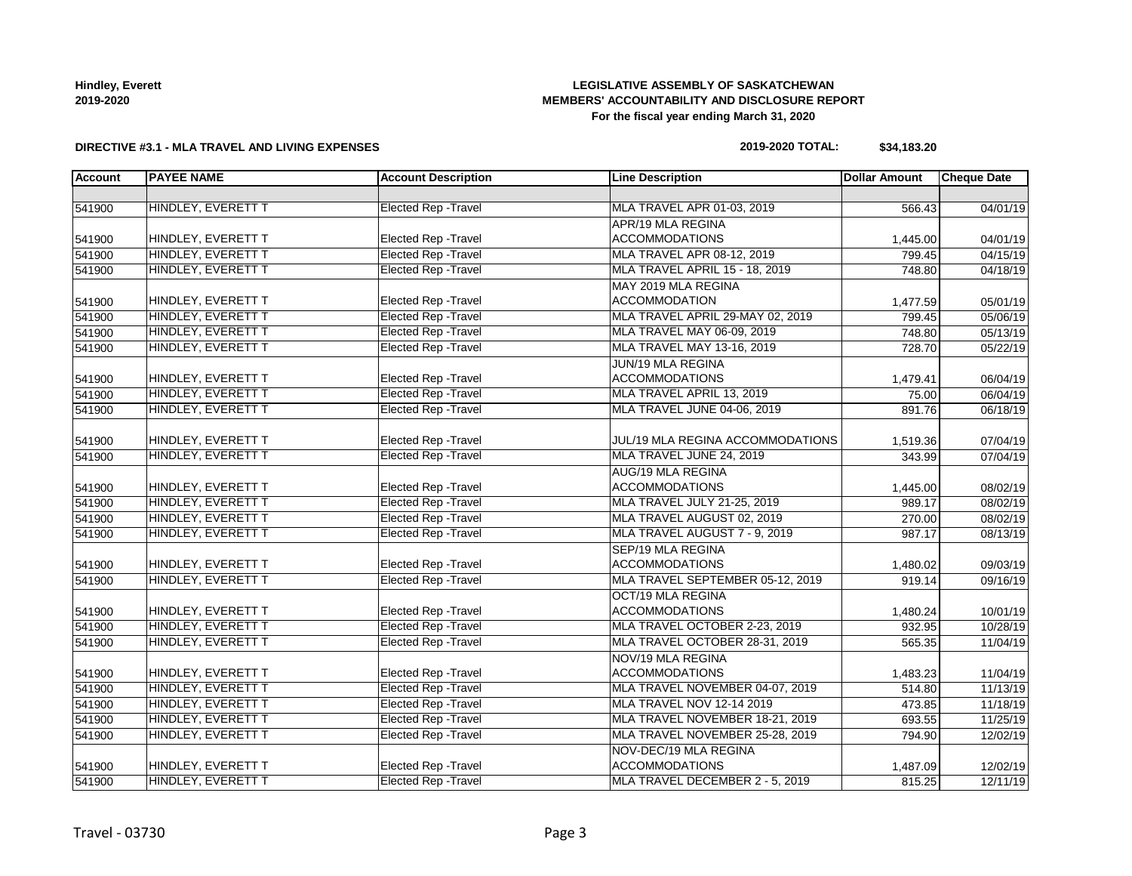# **LEGISLATIVE ASSEMBLY OF SASKATCHEWAN MEMBERS' ACCOUNTABILITY AND DISCLOSURE REPORT For the fiscal year ending March 31, 2020**

### **DIRECTIVE #3.1 - MLA TRAVEL AND LIVING EXPENSES**

# **2019-2020 TOTAL: \$34,183.20**

| <b>Account</b> | <b>PAYEE NAME</b>         | <b>Account Description</b>  | <b>Line Description</b>           | <b>Dollar Amount</b> | <b>Cheque Date</b> |
|----------------|---------------------------|-----------------------------|-----------------------------------|----------------------|--------------------|
|                |                           |                             |                                   |                      |                    |
| 541900         | HINDLEY, EVERETT T        | <b>Elected Rep - Travel</b> | <b>MLA TRAVEL APR 01-03, 2019</b> | 566.43               | 04/01/19           |
|                |                           |                             | APR/19 MLA REGINA                 |                      |                    |
| 541900         | HINDLEY, EVERETT T        | <b>Elected Rep - Travel</b> | <b>ACCOMMODATIONS</b>             | 1,445.00             | 04/01/19           |
| 541900         | HINDLEY, EVERETT T        | <b>Elected Rep - Travel</b> | MLA TRAVEL APR 08-12, 2019        | 799.45               | 04/15/19           |
| 541900         | HINDLEY, EVERETT T        | <b>Elected Rep - Travel</b> | MLA TRAVEL APRIL 15 - 18, 2019    | 748.80               | 04/18/19           |
|                |                           |                             | MAY 2019 MLA REGINA               |                      |                    |
| 541900         | HINDLEY, EVERETT T        | <b>Elected Rep - Travel</b> | <b>ACCOMMODATION</b>              | 1,477.59             | 05/01/19           |
| 541900         | HINDLEY, EVERETT T        | <b>Elected Rep - Travel</b> | MLA TRAVEL APRIL 29-MAY 02, 2019  | 799.45               | 05/06/19           |
| 541900         | HINDLEY, EVERETT T        | <b>Elected Rep - Travel</b> | MLA TRAVEL MAY 06-09, 2019        | 748.80               | 05/13/19           |
| 541900         | HINDLEY, EVERETT T        | <b>Elected Rep - Travel</b> | MLA TRAVEL MAY 13-16, 2019        | 728.70               | 05/22/19           |
|                |                           |                             | JUN/19 MLA REGINA                 |                      |                    |
| 541900         | HINDLEY, EVERETT T        | Elected Rep - Travel        | <b>ACCOMMODATIONS</b>             | 1,479.41             | 06/04/19           |
| 541900         | HINDLEY, EVERETT T        | <b>Elected Rep - Travel</b> | MLA TRAVEL APRIL 13, 2019         | 75.00                | 06/04/19           |
| 541900         | HINDLEY, EVERETT T        | <b>Elected Rep - Travel</b> | MLA TRAVEL JUNE 04-06, 2019       | 891.76               | 06/18/19           |
|                |                           |                             |                                   |                      |                    |
| 541900         | HINDLEY, EVERETT T        | <b>Elected Rep - Travel</b> | JUL/19 MLA REGINA ACCOMMODATIONS  | 1,519.36             | 07/04/19           |
| 541900         | <b>HINDLEY, EVERETT T</b> | <b>Elected Rep - Travel</b> | MLA TRAVEL JUNE 24, 2019          | 343.99               | 07/04/19           |
|                |                           |                             | <b>AUG/19 MLA REGINA</b>          |                      |                    |
| 541900         | HINDLEY, EVERETT T        | <b>Elected Rep - Travel</b> | <b>ACCOMMODATIONS</b>             | 1,445.00             | 08/02/19           |
| 541900         | HINDLEY, EVERETT T        | <b>Elected Rep - Travel</b> | MLA TRAVEL JULY 21-25, 2019       | 989.17               | 08/02/19           |
| 541900         | HINDLEY, EVERETT T        | <b>Elected Rep - Travel</b> | MLA TRAVEL AUGUST 02, 2019        | 270.00               | 08/02/19           |
| 541900         | HINDLEY, EVERETT T        | <b>Elected Rep - Travel</b> | MLA TRAVEL AUGUST 7 - 9, 2019     | 987.17               | 08/13/19           |
|                |                           |                             | SEP/19 MLA REGINA                 |                      |                    |
| 541900         | HINDLEY, EVERETT T        | Elected Rep - Travel        | <b>ACCOMMODATIONS</b>             | 1,480.02             | 09/03/19           |
| 541900         | HINDLEY, EVERETT T        | <b>Elected Rep - Travel</b> | MLA TRAVEL SEPTEMBER 05-12, 2019  | 919.14               | 09/16/19           |
|                |                           |                             | OCT/19 MLA REGINA                 |                      |                    |
| 541900         | HINDLEY, EVERETT T        | <b>Elected Rep - Travel</b> | <b>ACCOMMODATIONS</b>             | 1,480.24             | 10/01/19           |
| 541900         | HINDLEY, EVERETT T        | <b>Elected Rep - Travel</b> | MLA TRAVEL OCTOBER 2-23, 2019     | 932.95               | 10/28/19           |
| 541900         | HINDLEY, EVERETT T        | <b>Elected Rep - Travel</b> | MLA TRAVEL OCTOBER 28-31, 2019    | 565.35               | 11/04/19           |
|                |                           |                             | NOV/19 MLA REGINA                 |                      |                    |
| 541900         | HINDLEY, EVERETT T        | Elected Rep - Travel        | <b>ACCOMMODATIONS</b>             | 1,483.23             | 11/04/19           |
| 541900         | HINDLEY, EVERETT T        | <b>Elected Rep - Travel</b> | MLA TRAVEL NOVEMBER 04-07, 2019   | 514.80               | 11/13/19           |
| 541900         | HINDLEY, EVERETT T        | <b>Elected Rep - Travel</b> | MLA TRAVEL NOV 12-14 2019         | 473.85               | 11/18/19           |
| 541900         | HINDLEY, EVERETT T        | <b>Elected Rep - Travel</b> | MLA TRAVEL NOVEMBER 18-21, 2019   | 693.55               | 11/25/19           |
| 541900         | HINDLEY, EVERETT T        | <b>Elected Rep - Travel</b> | MLA TRAVEL NOVEMBER 25-28, 2019   | 794.90               | 12/02/19           |
|                |                           |                             | NOV-DEC/19 MLA REGINA             |                      |                    |
| 541900         | HINDLEY, EVERETT T        | Elected Rep - Travel        | <b>ACCOMMODATIONS</b>             | 1,487.09             | 12/02/19           |
| 541900         | HINDLEY, EVERETT T        | <b>Elected Rep - Travel</b> | MLA TRAVEL DECEMBER 2 - 5, 2019   | 815.25               | 12/11/19           |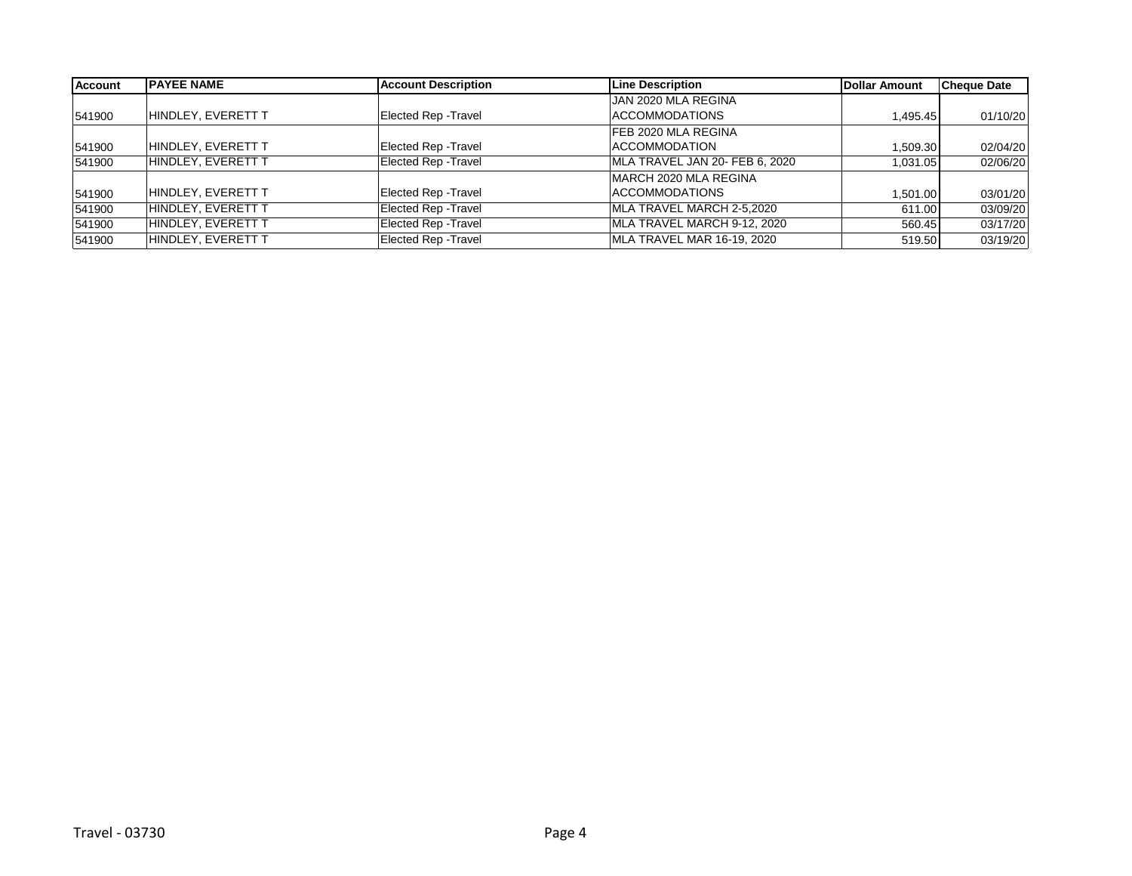| <b>Account</b> | <b>PAYEE NAME</b>  | <b>Account Description</b>  | <b>Line Description</b>        | Dollar Amount | <b>Cheque Date</b> |
|----------------|--------------------|-----------------------------|--------------------------------|---------------|--------------------|
|                |                    |                             | JAN 2020 MLA REGINA            |               |                    |
| 541900         | HINDLEY, EVERETT T | Elected Rep - Travel        | ACCOMMODATIONS                 | 1,495.45      | 01/10/20           |
|                |                    |                             | <b>FEB 2020 MLA REGINA</b>     |               |                    |
| 541900         | HINDLEY, EVERETT T | <b>Elected Rep - Travel</b> | <b>ACCOMMODATION</b>           | 1.509.30      | 02/04/20           |
| 541900         | HINDLEY, EVERETT T | Elected Rep - Travel        | MLA TRAVEL JAN 20- FEB 6, 2020 | 1,031.05      | 02/06/20           |
|                |                    |                             | MARCH 2020 MLA REGINA          |               |                    |
| 541900         | HINDLEY, EVERETT T | <b>Elected Rep - Travel</b> | <b>ACCOMMODATIONS</b>          | 1.501.00      | 03/01/20           |
| 541900         | HINDLEY, EVERETT T | Elected Rep - Travel        | MLA TRAVEL MARCH 2-5,2020      | 611.00        | 03/09/20           |
| 541900         | HINDLEY, EVERETT T | Elected Rep - Travel        | MLA TRAVEL MARCH 9-12, 2020    | 560.45        | 03/17/20           |
| 541900         | HINDLEY, EVERETT T | Elected Rep - Travel        | MLA TRAVEL MAR 16-19, 2020     | 519.50        | 03/19/20           |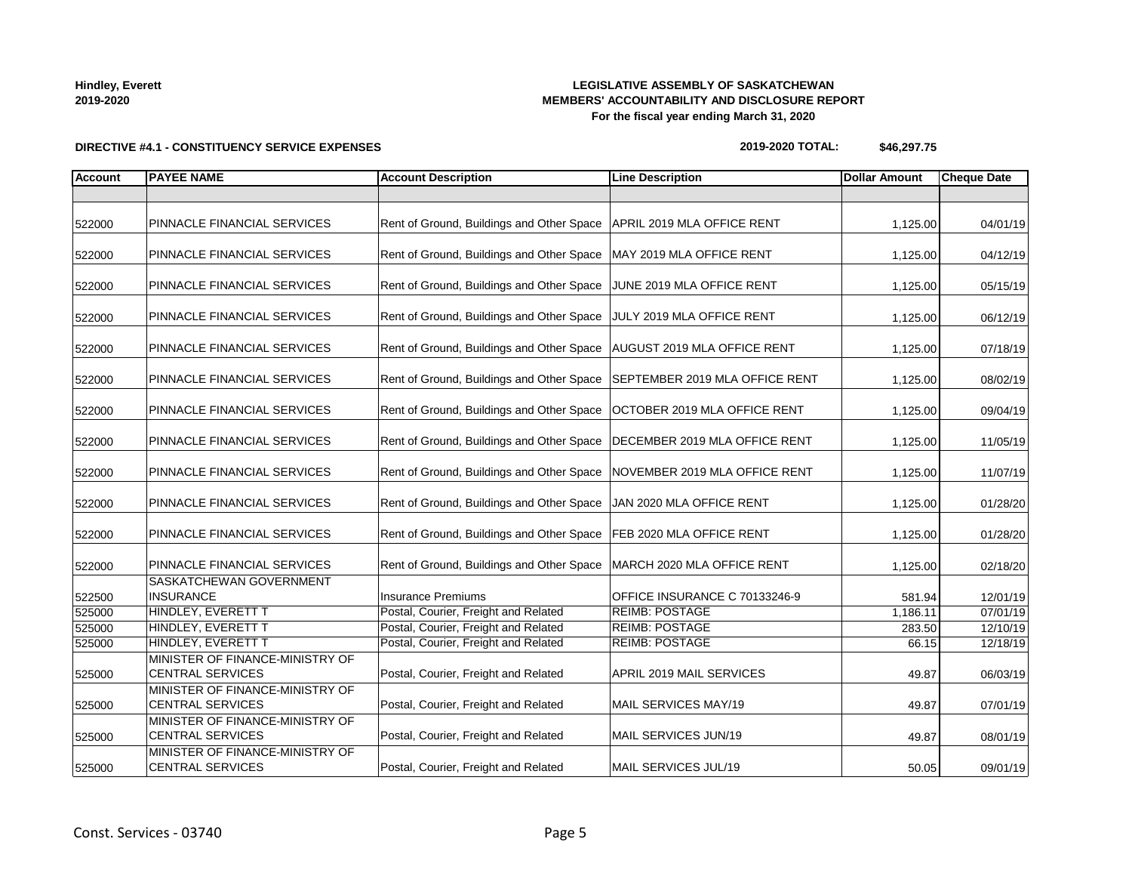**LEGISLATIVE ASSEMBLY OF SASKATCHEWAN MEMBERS' ACCOUNTABILITY AND DISCLOSURE REPORT For the fiscal year ending March 31, 2020**

**2019-2020 TOTAL: \$46,297.75**

# **Account PAYEE NAME Account Description Line Description Dollar Amount Cheque Date** 522000 PINNACLE FINANCIAL SERVICES Rent of Ground, Buildings and Other Space APRIL 2019 MLA OFFICE RENT 1,125.00 04/01/19 522000 PINNACLE FINANCIAL SERVICES Rent of Ground, Buildings and Other Space MAY 2019 MLA OFFICE RENT 1,125.00 1,125.00 04/12/19 522000 PINNACLE FINANCIAL SERVICES Rent of Ground, Buildings and Other Space JUNE 2019 MLA OFFICE RENT 1,125.00 05/15/19 522000 PINNACLE FINANCIAL SERVICES Rent of Ground, Buildings and Other Space JULY 2019 MLA OFFICE RENT 1,125.00 06/12/19 522000 PINNACLE FINANCIAL SERVICES Rent of Ground, Buildings and Other Space AUGUST 2019 MLA OFFICE RENT 1,125.00 07/18/19 522000 PINNACLE FINANCIAL SERVICES Rent of Ground, Buildings and Other Space SEPTEMBER 2019 MLA OFFICE RENT | 1,125.00 08/02/19 522000 PINNACLE FINANCIAL SERVICES Rent of Ground, Buildings and Other Space OCTOBER 2019 MLA OFFICE RENT 1,125.00 09/04/19 522000 PINNACLE FINANCIAL SERVICES Rent of Ground, Buildings and Other Space DECEMBER 2019 MLA OFFICE RENT | 1,125.00 11/05/19 522000 PINNACLE FINANCIAL SERVICES Rent of Ground, Buildings and Other Space NOVEMBER 2019 MLA OFFICE RENT | 1,125.00 11/07/19 522000 PINNACLE FINANCIAL SERVICES Rent of Ground, Buildings and Other Space JAN 2020 MLA OFFICE RENT 1,125.00 01/28/20 522000 PINNACLE FINANCIAL SERVICES Rent of Ground, Buildings and Other Space FEB 2020 MLA OFFICE RENT 1,125.00 1/28/20 522000 PINNACLE FINANCIAL SERVICES Rent of Ground, Buildings and Other Space MARCH 2020 MLA OFFICE RENT 1,125.00 02/18/20 522500 SASKATCHEWAN GOVERNMENT INSURANCE **INSURANCE INSURANCE INSURANCE C 70133246-9** 12/01/19 525000 HINDLEY, EVERETT T Postal, Courier, Freight and Related REIMB: POSTAGE 1,186.11 1,186.11 07/01/19 525000 HINDLEY, EVERETT T Postal, Courier, Freight and Related REIMB: POSTAGE 283.50 12/10/19 525000 HINDLEY, EVERETT T Postal, Courier, Freight and Related REIMB: POSTAGE 66.15 12/18/19 525000 MINISTER OF FINANCE-MINISTRY OF CENTRAL SERVICES **Postal, Courier, Freight and Related** APRIL 2019 MAIL SERVICES 49.87 49.87 06/03/19 525000 MINISTER OF FINANCE-MINISTRY OF CENTRAL SERVICES **Postal, Courier, Freight and Related** MAIL SERVICES MAY/19 49.87 **49.87** 07/01/19 525000 MINISTER OF FINANCE-MINISTRY OF CENTRAL SERVICES **Postal, Courier, Freight and Related** MAIL SERVICES JUN/19 49.87 49.87 08/01/19 525000 MINISTER OF FINANCE-MINISTRY OF CENTRAL SERVICES **Postal, Courier, Freight and Related** MAIL SERVICES JUL/19 50.05 50.05 09/01/19

**DIRECTIVE #4.1 - CONSTITUENCY SERVICE EXPENSES**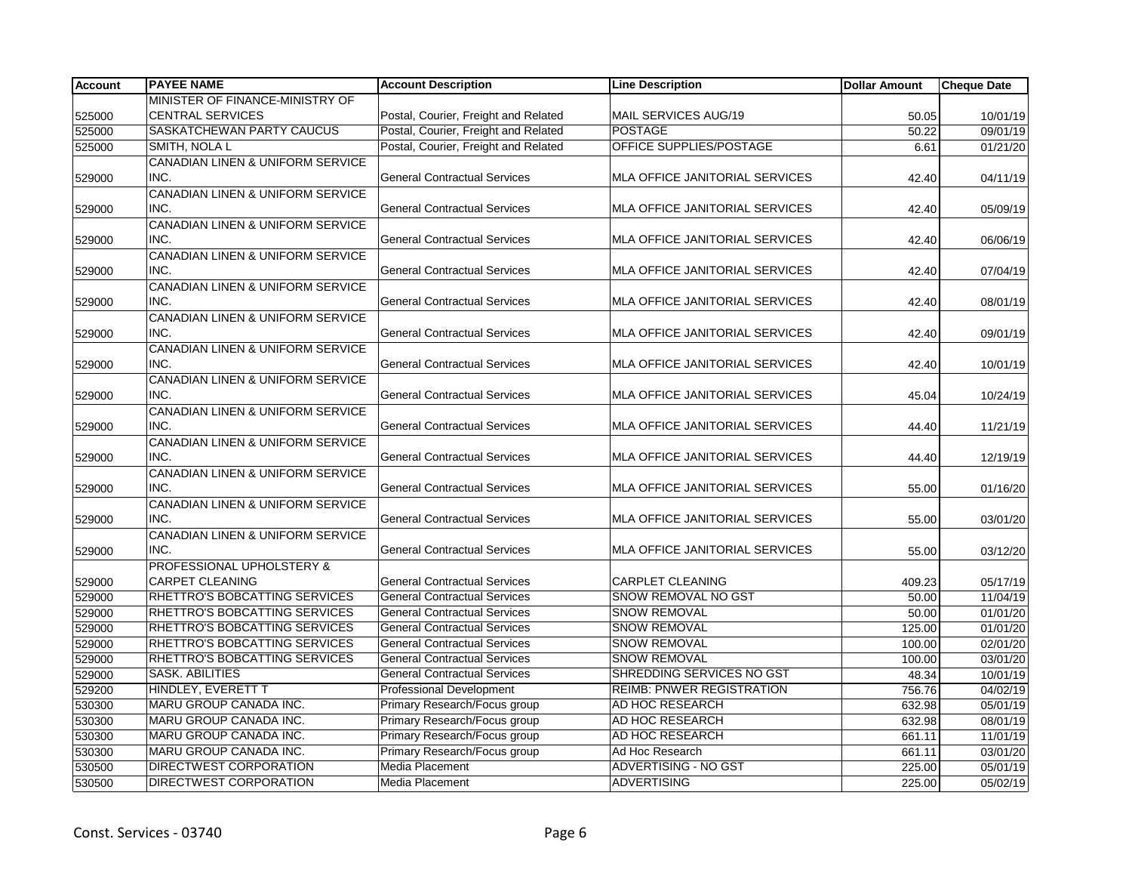| <b>Account</b> | <b>PAYEE NAME</b>                           | <b>Account Description</b>           | <b>Line Description</b>          | <b>Dollar Amount</b> | <b>Cheque Date</b> |
|----------------|---------------------------------------------|--------------------------------------|----------------------------------|----------------------|--------------------|
|                | MINISTER OF FINANCE-MINISTRY OF             |                                      |                                  |                      |                    |
| 525000         | <b>CENTRAL SERVICES</b>                     | Postal, Courier, Freight and Related | MAIL SERVICES AUG/19             | 50.05                | 10/01/19           |
| 525000         | SASKATCHEWAN PARTY CAUCUS                   | Postal, Courier, Freight and Related | <b>POSTAGE</b>                   | 50.22                | 09/01/19           |
| 525000         | SMITH, NOLA L                               | Postal, Courier, Freight and Related | OFFICE SUPPLIES/POSTAGE          | 6.61                 | 01/21/20           |
|                | CANADIAN LINEN & UNIFORM SERVICE            |                                      |                                  |                      |                    |
| 529000         | INC.                                        | <b>General Contractual Services</b>  | MLA OFFICE JANITORIAL SERVICES   | 42.40                | 04/11/19           |
|                | CANADIAN LINEN & UNIFORM SERVICE            |                                      |                                  |                      |                    |
| 529000         | INC.                                        | <b>General Contractual Services</b>  | MLA OFFICE JANITORIAL SERVICES   | 42.40                | 05/09/19           |
|                | CANADIAN LINEN & UNIFORM SERVICE            |                                      |                                  |                      |                    |
| 529000         | INC.                                        | <b>General Contractual Services</b>  | MLA OFFICE JANITORIAL SERVICES   | 42.40                | 06/06/19           |
|                | CANADIAN LINEN & UNIFORM SERVICE            |                                      |                                  |                      |                    |
| 529000         | INC.                                        | <b>General Contractual Services</b>  | MLA OFFICE JANITORIAL SERVICES   | 42.40                | 07/04/19           |
|                | CANADIAN LINEN & UNIFORM SERVICE            |                                      |                                  |                      |                    |
| 529000         | INC.                                        | <b>General Contractual Services</b>  | MLA OFFICE JANITORIAL SERVICES   | 42.40                | 08/01/19           |
|                | CANADIAN LINEN & UNIFORM SERVICE            |                                      |                                  |                      |                    |
| 529000         | INC.                                        | <b>General Contractual Services</b>  | MLA OFFICE JANITORIAL SERVICES   | 42.40                | 09/01/19           |
|                | CANADIAN LINEN & UNIFORM SERVICE            |                                      |                                  |                      |                    |
| 529000         | INC.                                        | <b>General Contractual Services</b>  | MLA OFFICE JANITORIAL SERVICES   | 42.40                | 10/01/19           |
|                | CANADIAN LINEN & UNIFORM SERVICE            |                                      |                                  |                      |                    |
| 529000         | INC.                                        | <b>General Contractual Services</b>  | MLA OFFICE JANITORIAL SERVICES   | 45.04                | 10/24/19           |
|                | CANADIAN LINEN & UNIFORM SERVICE            |                                      |                                  |                      |                    |
| 529000         | INC.                                        | <b>General Contractual Services</b>  | MLA OFFICE JANITORIAL SERVICES   | 44.40                | 11/21/19           |
|                | CANADIAN LINEN & UNIFORM SERVICE            |                                      |                                  |                      |                    |
| 529000         | INC.                                        | <b>General Contractual Services</b>  | MLA OFFICE JANITORIAL SERVICES   | 44.40                | 12/19/19           |
|                | <b>CANADIAN LINEN &amp; UNIFORM SERVICE</b> |                                      |                                  |                      |                    |
| 529000         | INC.                                        | <b>General Contractual Services</b>  | MLA OFFICE JANITORIAL SERVICES   | 55.00                | 01/16/20           |
|                | <b>CANADIAN LINEN &amp; UNIFORM SERVICE</b> |                                      |                                  |                      |                    |
| 529000         | INC.                                        | <b>General Contractual Services</b>  | MLA OFFICE JANITORIAL SERVICES   | 55.00                | 03/01/20           |
|                | CANADIAN LINEN & UNIFORM SERVICE            |                                      |                                  |                      |                    |
| 529000         | INC.                                        | <b>General Contractual Services</b>  | MLA OFFICE JANITORIAL SERVICES   | 55.00                | 03/12/20           |
|                | PROFESSIONAL UPHOLSTERY &                   |                                      |                                  |                      |                    |
| 529000         | CARPET CLEANING                             | <b>General Contractual Services</b>  | CARPLET CLEANING                 | 409.23               | 05/17/19           |
| 529000         | RHETTRO'S BOBCATTING SERVICES               | <b>General Contractual Services</b>  | <b>SNOW REMOVAL NO GST</b>       | 50.00                | 11/04/19           |
| 529000         | RHETTRO'S BOBCATTING SERVICES               | <b>General Contractual Services</b>  | SNOW REMOVAL                     | 50.00                | 01/01/20           |
| 529000         | RHETTRO'S BOBCATTING SERVICES               | <b>General Contractual Services</b>  | <b>SNOW REMOVAL</b>              | 125.00               | 01/01/20           |
| 529000         | RHETTRO'S BOBCATTING SERVICES               | <b>General Contractual Services</b>  | <b>SNOW REMOVAL</b>              | 100.00               | 02/01/20           |
| 529000         | RHETTRO'S BOBCATTING SERVICES               | <b>General Contractual Services</b>  | <b>SNOW REMOVAL</b>              | 100.00               | 03/01/20           |
| 529000         | <b>SASK, ABILITIES</b>                      | <b>General Contractual Services</b>  | SHREDDING SERVICES NO GST        | 48.34                | 10/01/19           |
| 529200         | HINDLEY, EVERETT T                          | <b>Professional Development</b>      | <b>REIMB: PNWER REGISTRATION</b> | 756.76               | 04/02/19           |
| 530300         | MARU GROUP CANADA INC.                      | Primary Research/Focus group         | AD HOC RESEARCH                  | 632.98               | 05/01/19           |
| 530300         | MARU GROUP CANADA INC.                      | Primary Research/Focus group         | AD HOC RESEARCH                  | 632.98               | 08/01/19           |
| 530300         | MARU GROUP CANADA INC.                      | Primary Research/Focus group         | AD HOC RESEARCH                  | 661.11               | 11/01/19           |
| 530300         | <b>MARU GROUP CANADA INC.</b>               | Primary Research/Focus group         | Ad Hoc Research                  | 661.11               | 03/01/20           |
| 530500         | DIRECTWEST CORPORATION                      | Media Placement                      | <b>ADVERTISING - NO GST</b>      | 225.00               | 05/01/19           |
| 530500         | <b>DIRECTWEST CORPORATION</b>               | Media Placement                      | <b>ADVERTISING</b>               | 225.00               | 05/02/19           |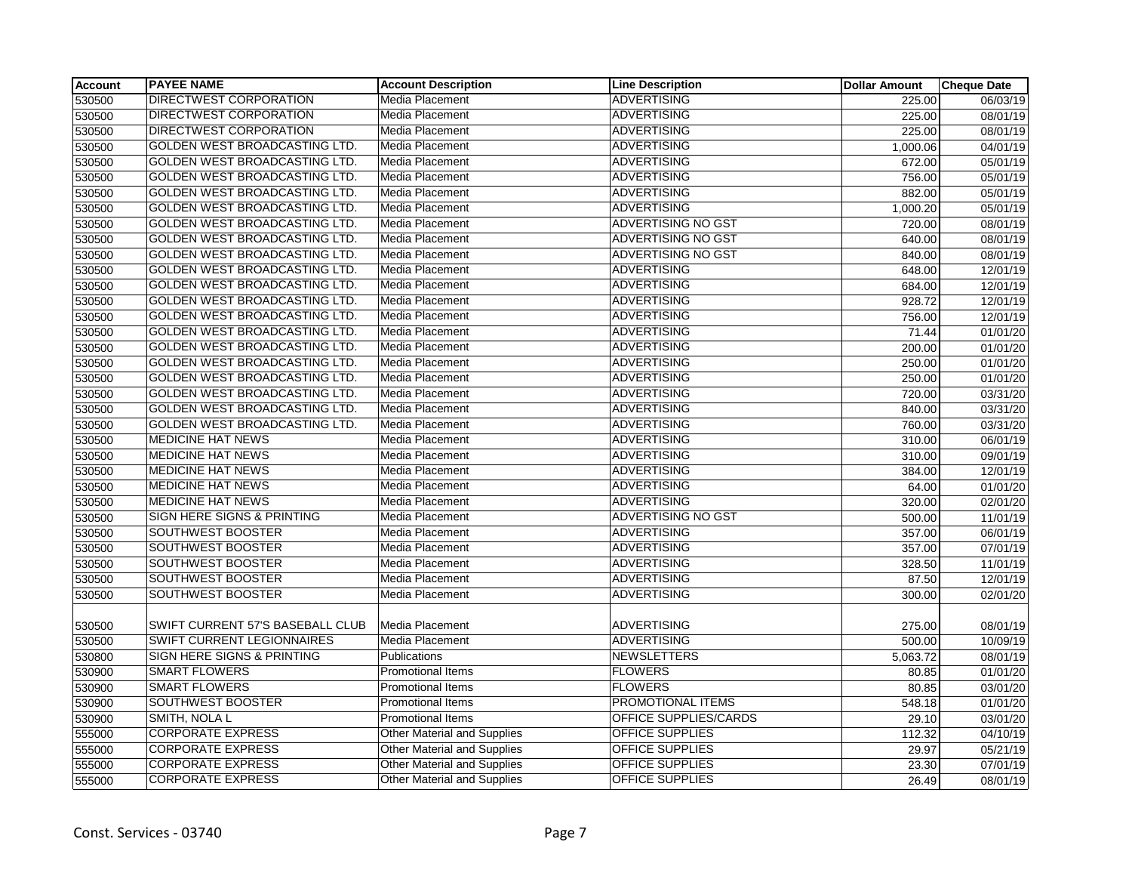| <b>Account</b> | <b>PAYEE NAME</b>                     | <b>Account Description</b>         | <b>Line Description</b>      | <b>Dollar Amount</b> | <b>Cheque Date</b> |
|----------------|---------------------------------------|------------------------------------|------------------------------|----------------------|--------------------|
| 530500         | <b>DIRECTWEST CORPORATION</b>         | Media Placement                    | <b>ADVERTISING</b>           | 225.00               | 06/03/19           |
| 530500         | DIRECTWEST CORPORATION                | <b>Media Placement</b>             | <b>ADVERTISING</b>           | 225.00               | 08/01/19           |
| 530500         | <b>DIRECTWEST CORPORATION</b>         | Media Placement                    | <b>ADVERTISING</b>           | 225.00               | 08/01/19           |
| 530500         | <b>GOLDEN WEST BROADCASTING LTD.</b>  | Media Placement                    | <b>ADVERTISING</b>           | 1,000.06             | 04/01/19           |
| 530500         | GOLDEN WEST BROADCASTING LTD.         | Media Placement                    | <b>ADVERTISING</b>           | 672.00               | 05/01/19           |
| 530500         | GOLDEN WEST BROADCASTING LTD.         | Media Placement                    | <b>ADVERTISING</b>           | 756.00               | 05/01/19           |
| 530500         | <b>GOLDEN WEST BROADCASTING LTD.</b>  | Media Placement                    | <b>ADVERTISING</b>           | 882.00               | 05/01/19           |
| 530500         | GOLDEN WEST BROADCASTING LTD.         | Media Placement                    | <b>ADVERTISING</b>           | 1,000.20             | 05/01/19           |
| 530500         | GOLDEN WEST BROADCASTING LTD.         | Media Placement                    | <b>ADVERTISING NO GST</b>    | 720.00               | 08/01/19           |
| 530500         | <b>GOLDEN WEST BROADCASTING LTD.</b>  | Media Placement                    | <b>ADVERTISING NO GST</b>    | 640.00               | 08/01/19           |
| 530500         | <b>GOLDEN WEST BROADCASTING LTD.</b>  | Media Placement                    | <b>ADVERTISING NO GST</b>    | 840.00               | 08/01/19           |
| 530500         | <b>GOLDEN WEST BROADCASTING LTD.</b>  | Media Placement                    | <b>ADVERTISING</b>           | 648.00               | 12/01/19           |
| 530500         | GOLDEN WEST BROADCASTING LTD.         | <b>Media Placement</b>             | <b>ADVERTISING</b>           | 684.00               | 12/01/19           |
| 530500         | GOLDEN WEST BROADCASTING LTD.         | Media Placement                    | <b>ADVERTISING</b>           | 928.72               | 12/01/19           |
| 530500         | GOLDEN WEST BROADCASTING LTD.         | Media Placement                    | <b>ADVERTISING</b>           | 756.00               | 12/01/19           |
| 530500         | GOLDEN WEST BROADCASTING LTD.         | Media Placement                    | <b>ADVERTISING</b>           | 71.44                | 01/01/20           |
| 530500         | GOLDEN WEST BROADCASTING LTD.         | Media Placement                    | <b>ADVERTISING</b>           | 200.00               | 01/01/20           |
| 530500         | GOLDEN WEST BROADCASTING LTD.         | Media Placement                    | <b>ADVERTISING</b>           | 250.00               | 01/01/20           |
| 530500         | <b>GOLDEN WEST BROADCASTING LTD.</b>  | Media Placement                    | <b>ADVERTISING</b>           | 250.00               | 01/01/20           |
| 530500         | GOLDEN WEST BROADCASTING LTD.         | Media Placement                    | <b>ADVERTISING</b>           | 720.00               | 03/31/20           |
| 530500         | GOLDEN WEST BROADCASTING LTD.         | Media Placement                    | <b>ADVERTISING</b>           | 840.00               | 03/31/20           |
| 530500         | GOLDEN WEST BROADCASTING LTD.         | Media Placement                    | <b>ADVERTISING</b>           | 760.00               | 03/31/20           |
| 530500         | <b>MEDICINE HAT NEWS</b>              | Media Placement                    | <b>ADVERTISING</b>           | 310.00               | 06/01/19           |
| 530500         | <b>MEDICINE HAT NEWS</b>              | Media Placement                    | <b>ADVERTISING</b>           | 310.00               | 09/01/19           |
| 530500         | <b>MEDICINE HAT NEWS</b>              | Media Placement                    | <b>ADVERTISING</b>           | 384.00               | 12/01/19           |
| 530500         | <b>MEDICINE HAT NEWS</b>              | Media Placement                    | <b>ADVERTISING</b>           | 64.00                | 01/01/20           |
| 530500         | <b>MEDICINE HAT NEWS</b>              | Media Placement                    | <b>ADVERTISING</b>           | 320.00               | 02/01/20           |
| 530500         | <b>SIGN HERE SIGNS &amp; PRINTING</b> | Media Placement                    | <b>ADVERTISING NO GST</b>    | 500.00               | 11/01/19           |
| 530500         | <b>SOUTHWEST BOOSTER</b>              | Media Placement                    | <b>ADVERTISING</b>           | 357.00               | 06/01/19           |
| 530500         | <b>SOUTHWEST BOOSTER</b>              | Media Placement                    | <b>ADVERTISING</b>           | 357.00               | 07/01/19           |
| 530500         | SOUTHWEST BOOSTER                     | Media Placement                    | <b>ADVERTISING</b>           | 328.50               | 11/01/19           |
| 530500         | SOUTHWEST BOOSTER                     | Media Placement                    | <b>ADVERTISING</b>           | 87.50                | 12/01/19           |
| 530500         | SOUTHWEST BOOSTER                     | Media Placement                    | <b>ADVERTISING</b>           | 300.00               | 02/01/20           |
|                |                                       |                                    |                              |                      |                    |
| 530500         | SWIFT CURRENT 57'S BASEBALL CLUB      | Media Placement                    | <b>ADVERTISING</b>           | 275.00               | 08/01/19           |
| 530500         | <b>SWIFT CURRENT LEGIONNAIRES</b>     | Media Placement                    | <b>ADVERTISING</b>           | 500.00               | 10/09/19           |
| 530800         | SIGN HERE SIGNS & PRINTING            | Publications                       | <b>NEWSLETTERS</b>           | 5,063.72             | 08/01/19           |
| 530900         | <b>SMART FLOWERS</b>                  | Promotional Items                  | <b>FLOWERS</b>               | 80.85                | 01/01/20           |
| 530900         | <b>SMART FLOWERS</b>                  | <b>Promotional Items</b>           | <b>FLOWERS</b>               | 80.85                | 03/01/20           |
| 530900         | SOUTHWEST BOOSTER                     | Promotional Items                  | PROMOTIONAL ITEMS            | 548.18               | 01/01/20           |
| 530900         | SMITH, NOLA L                         | <b>Promotional Items</b>           | <b>OFFICE SUPPLIES/CARDS</b> | 29.10                | 03/01/20           |
| 555000         | <b>CORPORATE EXPRESS</b>              | <b>Other Material and Supplies</b> | <b>OFFICE SUPPLIES</b>       | 112.32               | 04/10/19           |
| 555000         | <b>CORPORATE EXPRESS</b>              | <b>Other Material and Supplies</b> | OFFICE SUPPLIES              | 29.97                | 05/21/19           |
| 555000         | <b>CORPORATE EXPRESS</b>              | <b>Other Material and Supplies</b> | OFFICE SUPPLIES              | 23.30                | 07/01/19           |
| 555000         | <b>CORPORATE EXPRESS</b>              | <b>Other Material and Supplies</b> | <b>OFFICE SUPPLIES</b>       | 26.49                | 08/01/19           |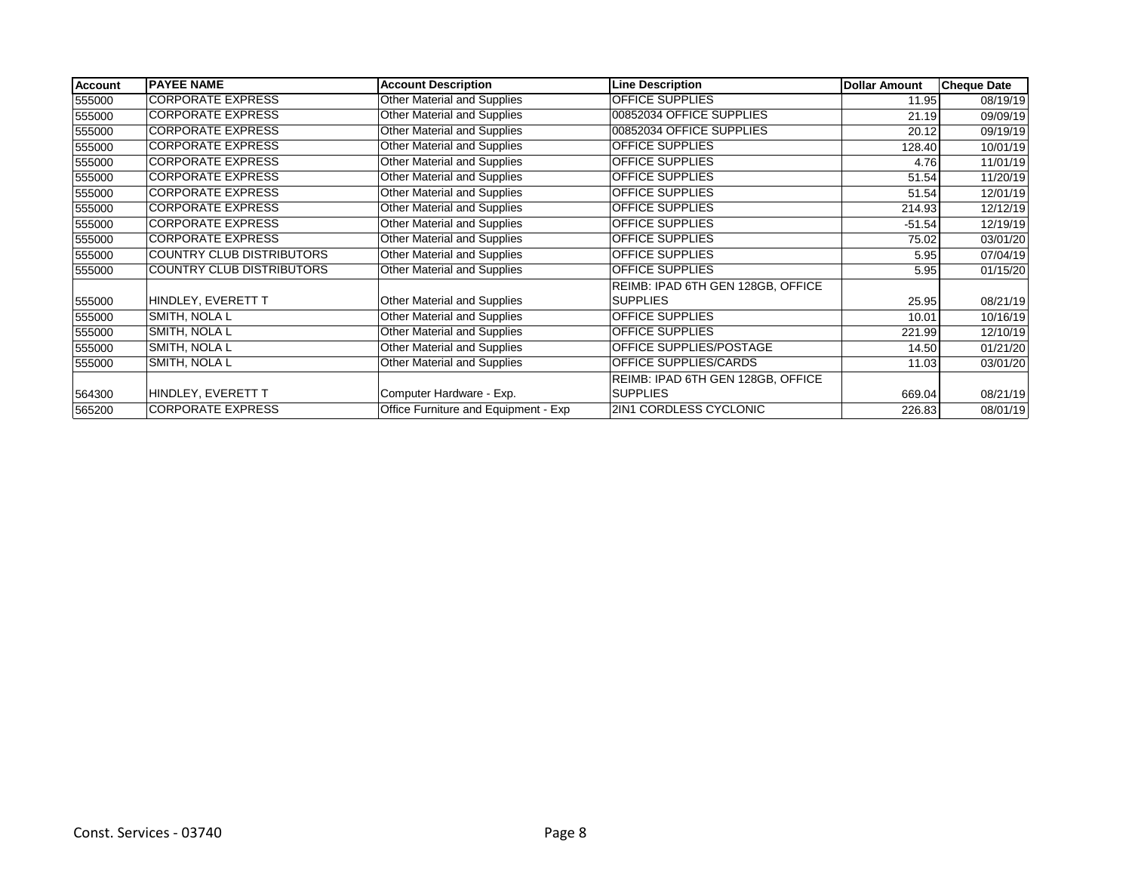| <b>Account</b> | <b>PAYEE NAME</b>                | <b>Account Description</b>           | <b>Line Description</b>           | <b>Dollar Amount</b> | <b>Cheque Date</b> |
|----------------|----------------------------------|--------------------------------------|-----------------------------------|----------------------|--------------------|
| 555000         | <b>CORPORATE EXPRESS</b>         | Other Material and Supplies          | <b>OFFICE SUPPLIES</b>            | 11.95                | 08/19/19           |
| 555000         | <b>CORPORATE EXPRESS</b>         | Other Material and Supplies          | 00852034 OFFICE SUPPLIES          | 21.19                | 09/09/19           |
| 555000         | <b>CORPORATE EXPRESS</b>         | <b>Other Material and Supplies</b>   | 00852034 OFFICE SUPPLIES          | 20.12                | 09/19/19           |
| 555000         | <b>CORPORATE EXPRESS</b>         | Other Material and Supplies          | <b>OFFICE SUPPLIES</b>            | 128.40               | 10/01/19           |
| 555000         | <b>CORPORATE EXPRESS</b>         | Other Material and Supplies          | <b>OFFICE SUPPLIES</b>            | 4.76                 | 11/01/19           |
| 555000         | <b>CORPORATE EXPRESS</b>         | Other Material and Supplies          | <b>OFFICE SUPPLIES</b>            | 51.54                | 11/20/19           |
| 555000         | <b>CORPORATE EXPRESS</b>         | Other Material and Supplies          | OFFICE SUPPLIES                   | 51.54                | 12/01/19           |
| 555000         | <b>CORPORATE EXPRESS</b>         | <b>Other Material and Supplies</b>   | <b>OFFICE SUPPLIES</b>            | 214.93               | 12/12/19           |
| 555000         | <b>CORPORATE EXPRESS</b>         | Other Material and Supplies          | OFFICE SUPPLIES                   | $-51.54$             | 12/19/19           |
| 555000         | <b>CORPORATE EXPRESS</b>         | Other Material and Supplies          | <b>OFFICE SUPPLIES</b>            | 75.02                | 03/01/20           |
| 555000         | <b>COUNTRY CLUB DISTRIBUTORS</b> | Other Material and Supplies          | <b>OFFICE SUPPLIES</b>            | 5.95                 | 07/04/19           |
| 555000         | COUNTRY CLUB DISTRIBUTORS        | Other Material and Supplies          | OFFICE SUPPLIES                   | 5.95                 | 01/15/20           |
|                |                                  |                                      | REIMB: IPAD 6TH GEN 128GB, OFFICE |                      |                    |
| 555000         | HINDLEY, EVERETT T               | Other Material and Supplies          | <b>SUPPLIES</b>                   | 25.95                | 08/21/19           |
| 555000         | SMITH, NOLA L                    | Other Material and Supplies          | <b>OFFICE SUPPLIES</b>            | 10.01                | 10/16/19           |
| 555000         | SMITH, NOLA L                    | Other Material and Supplies          | <b>OFFICE SUPPLIES</b>            | 221.99               | 12/10/19           |
| 555000         | SMITH, NOLA L                    | Other Material and Supplies          | OFFICE SUPPLIES/POSTAGE           | 14.50                | 01/21/20           |
| 555000         | SMITH, NOLA L                    | <b>Other Material and Supplies</b>   | OFFICE SUPPLIES/CARDS             | 11.03                | 03/01/20           |
|                |                                  |                                      | REIMB: IPAD 6TH GEN 128GB, OFFICE |                      |                    |
| 564300         | HINDLEY, EVERETT T               | Computer Hardware - Exp.             | <b>SUPPLIES</b>                   | 669.04               | 08/21/19           |
| 565200         | <b>CORPORATE EXPRESS</b>         | Office Furniture and Equipment - Exp | 2IN1 CORDLESS CYCLONIC            | 226.83               | 08/01/19           |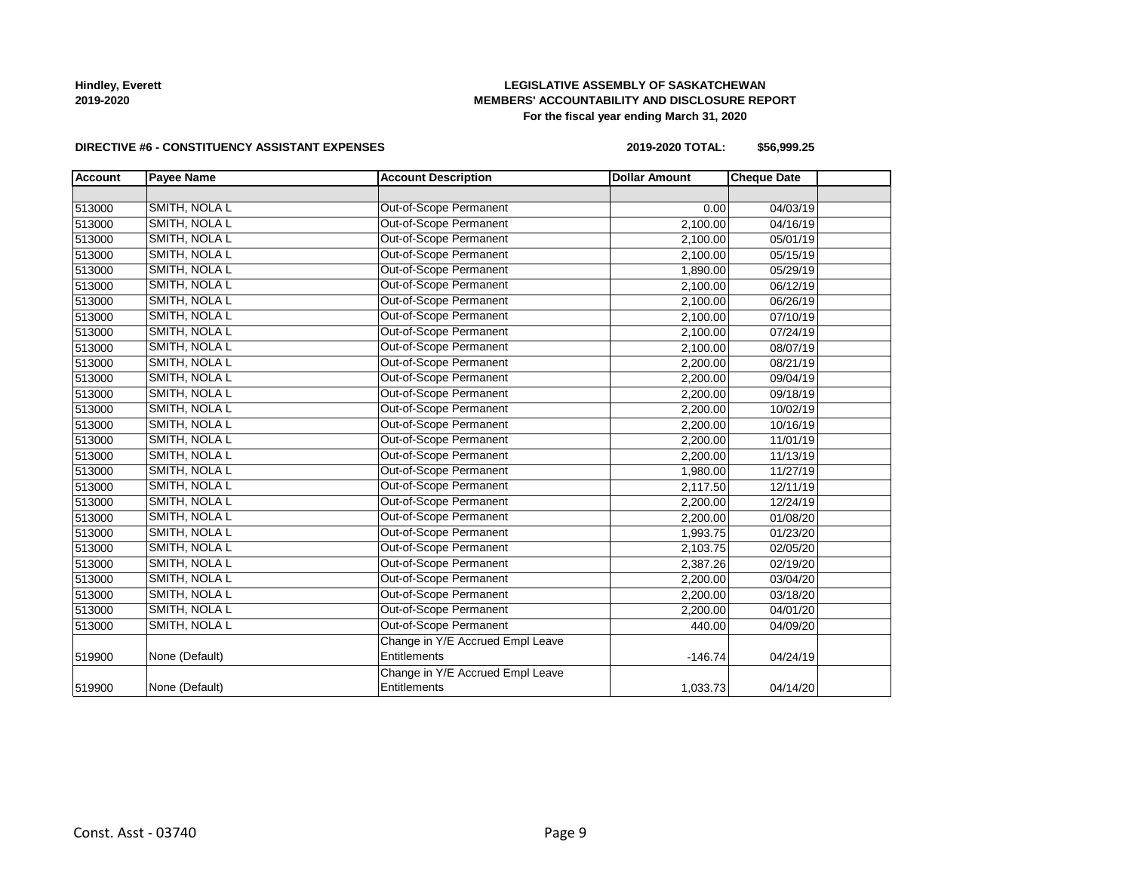# **LEGISLATIVE ASSEMBLY OF SASKATCHEWAN MEMBERS' ACCOUNTABILITY AND DISCLOSURE REPORT For the fiscal year ending March 31, 2020**

### **DIRECTIVE #6 - CONSTITUENCY ASSISTANT EXPENSES**

**2019-2020 TOTAL: \$56,999.25**

| <b>Account</b> | <b>Payee Name</b> | <b>Account Description</b>       | <b>Dollar Amount</b> | <b>Cheque Date</b> |  |
|----------------|-------------------|----------------------------------|----------------------|--------------------|--|
|                |                   |                                  |                      |                    |  |
| 513000         | SMITH, NOLA L     | Out-of-Scope Permanent           | 0.00                 | 04/03/19           |  |
| 513000         | SMITH, NOLA L     | Out-of-Scope Permanent           | 2,100.00             | 04/16/19           |  |
| 513000         | SMITH, NOLA L     | Out-of-Scope Permanent           | 2,100.00             | 05/01/19           |  |
| 513000         | SMITH, NOLA L     | Out-of-Scope Permanent           | 2,100.00             | 05/15/19           |  |
| 513000         | SMITH, NOLA L     | Out-of-Scope Permanent           | 1,890.00             | 05/29/19           |  |
| 513000         | SMITH, NOLA L     | Out-of-Scope Permanent           | 2,100.00             | 06/12/19           |  |
| 513000         | SMITH, NOLA L     | Out-of-Scope Permanent           | 2,100.00             | 06/26/19           |  |
| 513000         | SMITH, NOLA L     | Out-of-Scope Permanent           | 2,100.00             | 07/10/19           |  |
| 513000         | SMITH, NOLA L     | Out-of-Scope Permanent           | 2,100.00             | 07/24/19           |  |
| 513000         | SMITH, NOLA L     | Out-of-Scope Permanent           | 2,100.00             | 08/07/19           |  |
| 513000         | SMITH, NOLA L     | Out-of-Scope Permanent           | 2,200.00             | 08/21/19           |  |
| 513000         | SMITH, NOLA L     | Out-of-Scope Permanent           | 2,200.00             | 09/04/19           |  |
| 513000         | SMITH, NOLA L     | Out-of-Scope Permanent           | 2,200.00             | 09/18/19           |  |
| 513000         | SMITH, NOLA L     | Out-of-Scope Permanent           | 2,200.00             | 10/02/19           |  |
| 513000         | SMITH, NOLA L     | Out-of-Scope Permanent           | 2,200.00             | 10/16/19           |  |
| 513000         | SMITH, NOLA L     | Out-of-Scope Permanent           | 2,200.00             | 11/01/19           |  |
| 513000         | SMITH, NOLA L     | Out-of-Scope Permanent           | 2,200.00             | 11/13/19           |  |
| 513000         | SMITH, NOLA L     | Out-of-Scope Permanent           | 1,980.00             | 11/27/19           |  |
| 513000         | SMITH, NOLA L     | Out-of-Scope Permanent           | 2,117.50             | 12/11/19           |  |
| 513000         | SMITH, NOLA L     | Out-of-Scope Permanent           | 2,200.00             | 12/24/19           |  |
| 513000         | SMITH, NOLA L     | Out-of-Scope Permanent           | 2,200.00             | 01/08/20           |  |
| 513000         | SMITH, NOLA L     | Out-of-Scope Permanent           | 1,993.75             | 01/23/20           |  |
| 513000         | SMITH, NOLA L     | Out-of-Scope Permanent           | 2,103.75             | 02/05/20           |  |
| 513000         | SMITH, NOLA L     | Out-of-Scope Permanent           | 2,387.26             | 02/19/20           |  |
| 513000         | SMITH, NOLA L     | Out-of-Scope Permanent           | 2,200.00             | 03/04/20           |  |
| 513000         | SMITH, NOLA L     | Out-of-Scope Permanent           | 2,200.00             | 03/18/20           |  |
| 513000         | SMITH, NOLA L     | Out-of-Scope Permanent           | 2,200.00             | 04/01/20           |  |
| 513000         | SMITH, NOLA L     | Out-of-Scope Permanent           | 440.00               | 04/09/20           |  |
|                |                   | Change in Y/E Accrued Empl Leave |                      |                    |  |
| 519900         | None (Default)    | <b>Entitlements</b>              | $-146.74$            | 04/24/19           |  |
|                |                   | Change in Y/E Accrued Empl Leave |                      |                    |  |
| 519900         | None (Default)    | Entitlements                     | 1,033.73             | 04/14/20           |  |